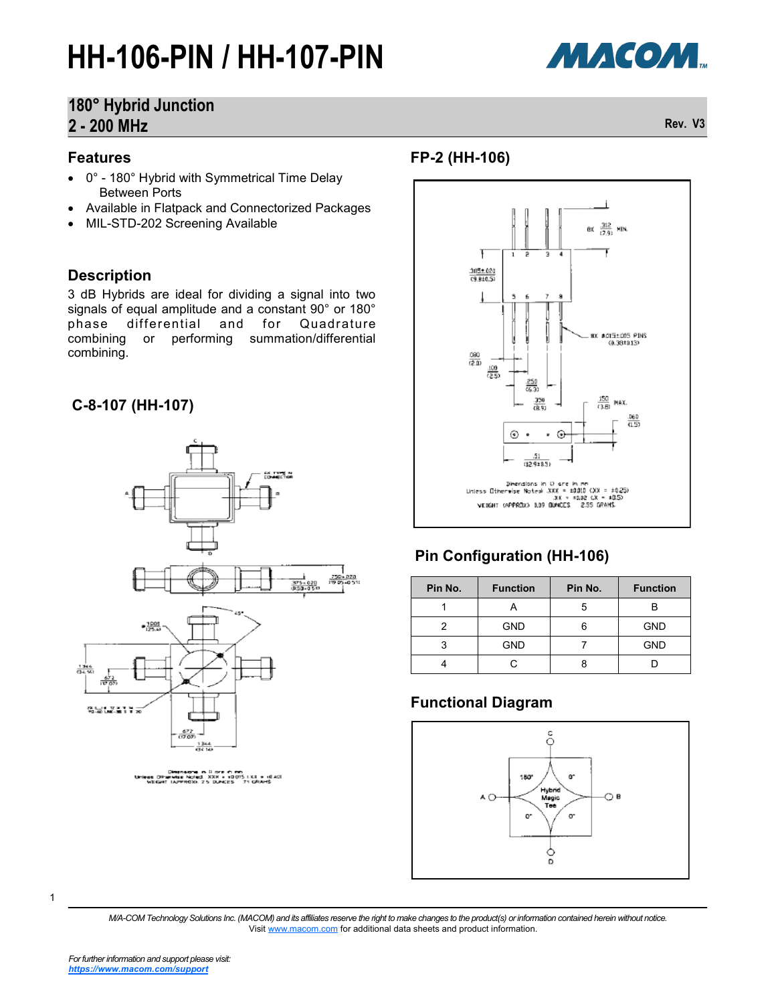# **HH-106-PIN / HH-107-PIN**



# **180° Hybrid Junction 2 - 200 MHz Rev. V3**

#### **Features**

- 0° 180° Hybrid with Symmetrical Time Delay Between Ports
- Available in Flatpack and Connectorized Packages
- MIL-STD-202 Screening Available

#### **Description**

3 dB Hybrids are ideal for dividing a signal into two signals of equal amplitude and a constant 90° or 180°<br>phase differential and for Quadrature **Quadrature** combining or performing summation/differential combining.

### **C-8-107 (HH-107)**



#### **FP-2 (HH-106)**



## **Pin Configuration (HH-106)**

| Pin No. | <b>Function</b> | Pin No.<br><b>Function</b> |            |
|---------|-----------------|----------------------------|------------|
|         |                 | 5                          |            |
|         | <b>GND</b>      |                            | <b>GND</b> |
|         | <b>GND</b>      |                            | <b>GND</b> |
|         |                 |                            |            |

### **Functional Diagram**



*M/A-COM Technology Solutions Inc. (MACOM) and its affiliates reserve the right to make changes to the product(s) or information contained herein without notice.*  Visit [www.macom.com](http://www.macom.com/) for additional data sheets and product information.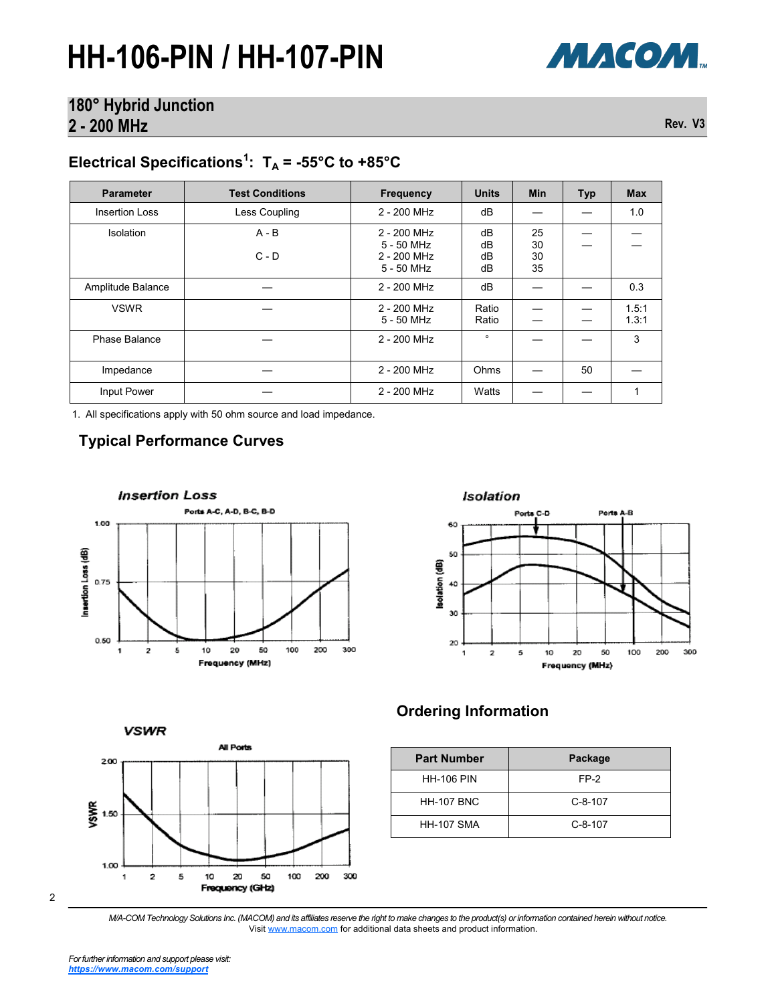# **HH-106-PIN / HH-107-PIN**



## **180° Hybrid Junction 2 - 200 MHz Rev. V3**

# Electrical Specifications<sup>1</sup>:  $T_A = -55^{\circ}C$  to  $+85^{\circ}C$

| <b>Parameter</b>      | <b>Test Conditions</b> | Frequency                                                | <b>Units</b>         | <b>Min</b>           | <b>Typ</b> | <b>Max</b>     |
|-----------------------|------------------------|----------------------------------------------------------|----------------------|----------------------|------------|----------------|
| <b>Insertion Loss</b> | Less Coupling          | 2 - 200 MHz                                              | dB                   |                      |            | 1.0            |
| <b>Isolation</b>      | $A - B$<br>$C - D$     | 2 - 200 MHz<br>$5 - 50$ MHz<br>2 - 200 MHz<br>5 - 50 MHz | dB<br>dB<br>dB<br>dB | 25<br>30<br>30<br>35 |            |                |
| Amplitude Balance     |                        | 2 - 200 MHz                                              | dB                   |                      |            | 0.3            |
| <b>VSWR</b>           |                        | 2 - 200 MHz<br>5 - 50 MHz                                | Ratio<br>Ratio       |                      |            | 1.5:1<br>1.3:1 |
| Phase Balance         |                        | 2 - 200 MHz                                              | $\circ$              |                      |            | 3              |
| Impedance             |                        | 2 - 200 MHz                                              | Ohms                 |                      | 50         |                |
| Input Power           |                        | 2 - 200 MHz                                              | Watts                |                      |            |                |

1. All specifications apply with 50 ohm source and load impedance.

### **Typical Performance Curves**





**VSWR** 



## **Ordering Information**

| <b>Part Number</b> | Package   |  |  |
|--------------------|-----------|--|--|
| <b>HH-106 PIN</b>  | FP-2      |  |  |
| <b>HH-107 BNC</b>  | $C-8-107$ |  |  |
| <b>HH-107 SMA</b>  | $C-8-107$ |  |  |

2

*M/A-COM Technology Solutions Inc. (MACOM) and its affiliates reserve the right to make changes to the product(s) or information contained herein without notice.*  Visit [www.macom.com](http://www.macom.com/) for additional data sheets and product information.